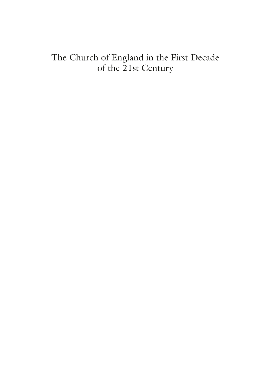### <span id="page-0-0"></span>The Church of England in the First Decade of the 21st Century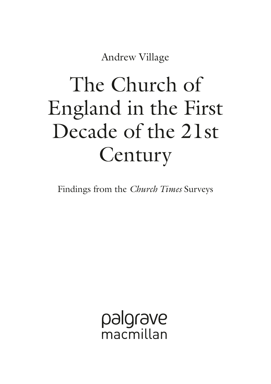Andrew Village

# The Church of England in the First Decade of the 21st **Century**

Findings from the *Church Times* Surveys

palgrave macmillan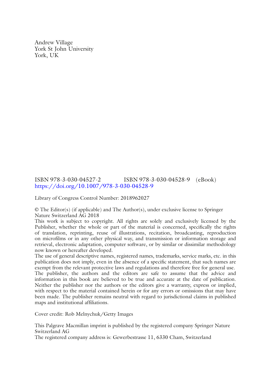Andrew Village York St John University York, UK

#### ISBN 978-3-030-04527-2 ISBN 978-3-030-04528-9 (eBook) <https://doi.org/10.1007/978-3-030-04528-9>

Library of Congress Control Number: 2018962027

© The Editor(s) (if applicable) and The Author(s), under exclusive license to Springer Nature Switzerland AG 2018

This work is subject to copyright. All rights are solely and exclusively licensed by the Publisher, whether the whole or part of the material is concerned, specifcally the rights of translation, reprinting, reuse of illustrations, recitation, broadcasting, reproduction on microflms or in any other physical way, and transmission or information storage and retrieval, electronic adaptation, computer software, or by similar or dissimilar methodology now known or hereafter developed.

The use of general descriptive names, registered names, trademarks, service marks, etc. in this publication does not imply, even in the absence of a specifc statement, that such names are exempt from the relevant protective laws and regulations and therefore free for general use. The publisher, the authors and the editors are safe to assume that the advice and information in this book are believed to be true and accurate at the date of publication. Neither the publisher nor the authors or the editors give a warranty, express or implied, with respect to the material contained herein or for any errors or omissions that may have been made. The publisher remains neutral with regard to jurisdictional claims in published maps and institutional affliations.

Cover credit: Rob Melnychuk/Getty Images

This Palgrave Macmillan imprint is published by the registered company Springer Nature Switzerland AG

The registered company address is: Gewerbestrasse 11, 6330 Cham, Switzerland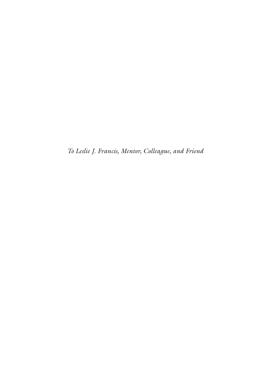*To Leslie J. Francis, Mentor, Colleague, and Friend*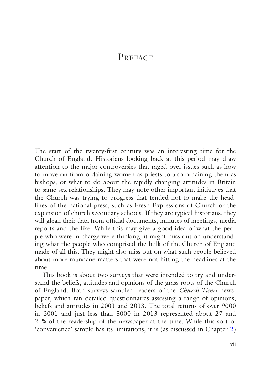#### **PREFACE**

The start of the twenty-frst century was an interesting time for the Church of England. Historians looking back at this period may draw attention to the major controversies that raged over issues such as how to move on from ordaining women as priests to also ordaining them as bishops, or what to do about the rapidly changing attitudes in Britain to same-sex relationships. They may note other important initiatives that the Church was trying to progress that tended not to make the headlines of the national press, such as Fresh Expressions of Church or the expansion of church secondary schools. If they are typical historians, they will glean their data from official documents, minutes of meetings, media reports and the like. While this may give a good idea of what the people who were in charge were thinking, it might miss out on understanding what the people who comprised the bulk of the Church of England made of all this. They might also miss out on what such people believed about more mundane matters that were not hitting the headlines at the time.

This book is about two surveys that were intended to try and understand the beliefs, attitudes and opinions of the grass roots of the Church of England. Both surveys sampled readers of the *Church Times* newspaper, which ran detailed questionnaires assessing a range of opinions, beliefs and attitudes in 2001 and 2013. The total returns of over 9000 in 2001 and just less than 5000 in 2013 represented about 27 and 21% of the readership of the newspaper at the time. While this sort of 'convenience' sample has its limitations, it is (as discussed in Chapter [2\)](http://dx.doi.org/10.1007/978-3-030-04528-9_2)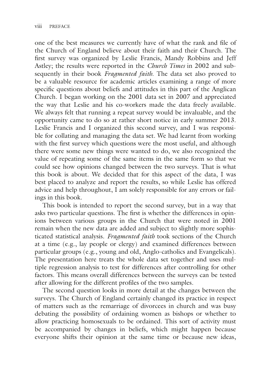one of the best measures we currently have of what the rank and fle of the Church of England believe about their faith and their Church. The frst survey was organized by Leslie Francis, Mandy Robbins and Jeff Astley; the results were reported in the *Church Times* in 2002 and subsequently in their book *Fragmented faith*. The data set also proved to be a valuable resource for academic articles examining a range of more specifc questions about beliefs and attitudes in this part of the Anglican Church. I began working on the 2001 data set in 2007 and appreciated the way that Leslie and his co-workers made the data freely available. We always felt that running a repeat survey would be invaluable, and the opportunity came to do so at rather short notice in early summer 2013. Leslie Francis and I organized this second survey, and I was responsible for collating and managing the data set. We had learnt from working with the frst survey which questions were the most useful, and although there were some new things were wanted to do, we also recognized the value of repeating some of the same items in the same form so that we could see how opinions changed between the two surveys. That is what this book is about. We decided that for this aspect of the data, I was best placed to analyze and report the results, so while Leslie has offered advice and help throughout,  $\tilde{I}$  am solely responsible for any errors or failings in this book.

This book is intended to report the second survey, but in a way that asks two particular questions. The frst is whether the differences in opinions between various groups in the Church that were noted in 2001 remain when the new data are added and subject to slightly more sophisticated statistical analysis. *Fragmented faith* took sections of the Church at a time (e.g., lay people or clergy) and examined differences between particular groups (e.g., young and old, Anglo-catholics and Evangelicals). The presentation here treats the whole data set together and uses multiple regression analysis to test for differences after controlling for other factors. This means overall differences between the surveys can be tested after allowing for the different profles of the two samples.

The second question looks in more detail at the changes between the surveys. The Church of England certainly changed its practice in respect of matters such as the remarriage of divorcees in church and was busy debating the possibility of ordaining women as bishops or whether to allow practicing homosexuals to be ordained. This sort of activity must be accompanied by changes in beliefs, which might happen because everyone shifts their opinion at the same time or because new ideas,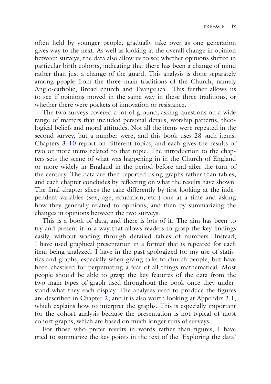often held by younger people, gradually take over as one generation gives way to the next. As well as looking at the overall change in opinion between surveys, the data also allow us to see whether opinions shifted in particular birth cohorts, indicating that there has been a change of mind rather than just a change of the guard. This analysis is done separately among people from the three main traditions of the Church, namely Anglo-catholic, Broad church and Evangelical. This further allows us to see if opinions moved in the same way in these three traditions, or whether there were pockets of innovation or resistance.

The two surveys covered a lot of ground, asking questions on a wide range of matters that included personal details, worship patterns, theological beliefs and moral attitudes. Not all the items were repeated in the second survey, but a number were, and this book uses  $28$  such items. Chapters [3–](http://dx.doi.org/10.1007/978-3-030-04528-9_3)[10](http://dx.doi.org/10.1007/978-3-030-04528-9_10) report on different topics, and each gives the results of two or more items related to that topic. The introduction to the chapters sets the scene of what was happening in in the Church of England or more widely in England in the period before and after the turn of the century. The data are then reported using graphs rather than tables, and each chapter concludes by refecting on what the results have shown. The fnal chapter slices the cake differently by frst looking at the independent variables (sex, age, education, etc.) one at a time and asking how they generally related to opinions, and then by summarizing the changes in opinions between the two surveys.

This is a book of data, and there is lots of it. The aim has been to try and present it in a way that allows readers to grasp the key fndings easily, without wading through detailed tables of numbers. Instead, I have used graphical presentation in a format that is repeated for each item being analyzed. I have in the past apologized for my use of statistics and graphs, especially when giving talks to church people, but have been chastised for perpetuating a fear of all things mathematical. Most people should be able to grasp the key features of the data from the two main types of graph used throughout the book once they understand what they each display. The analyses used to produce the fgures are described in Chapter [2](http://dx.doi.org/10.1007/978-3-030-04528-9_2), and it is also worth looking at Appendix 2.1, which explains how to interpret the graphs. This is especially important for the cohort analysis because the presentation is not typical of most cohort graphs, which are based on much longer runs of surveys.

For those who prefer results in words rather than fgures, I have tried to summarize the key points in the text of the 'Exploring the data'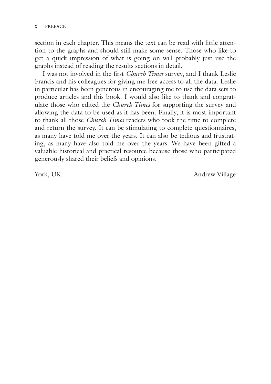section in each chapter. This means the text can be read with little attention to the graphs and should still make some sense. Those who like to get a quick impression of what is going on will probably just use the graphs instead of reading the results sections in detail.

I was not involved in the frst *Church Times* survey, and I thank Leslie Francis and his colleagues for giving me free access to all the data. Leslie in particular has been generous in encouraging me to use the data sets to produce articles and this book. I would also like to thank and congratulate those who edited the *Church Times* for supporting the survey and allowing the data to be used as it has been. Finally, it is most important to thank all those *Church Times* readers who took the time to complete and return the survey. It can be stimulating to complete questionnaires, as many have told me over the years. It can also be tedious and frustrating, as many have also told me over the years. We have been gifted a valuable historical and practical resource because those who participated generously shared their beliefs and opinions.

York, UK Andrew Village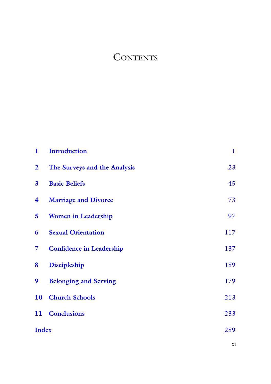## **CONTENTS**

| 1                       | <b>Introduction</b>             | 1   |
|-------------------------|---------------------------------|-----|
| $\overline{\mathbf{2}}$ | The Surveys and the Analysis    | 23  |
| $\overline{\mathbf{3}}$ | <b>Basic Beliefs</b>            | 45  |
| $\overline{\textbf{4}}$ | <b>Marriage and Divorce</b>     | 73  |
| 5                       | <b>Women in Leadership</b>      | 97  |
| 6                       | <b>Sexual Orientation</b>       | 117 |
| 7                       | <b>Confidence in Leadership</b> | 137 |
| 8                       | Discipleship                    | 159 |
| 9                       | <b>Belonging and Serving</b>    | 179 |
| 10                      | <b>Church Schools</b>           | 213 |
| 11                      | <b>Conclusions</b>              | 233 |
| <b>Index</b>            |                                 | 259 |
|                         |                                 | Xİ  |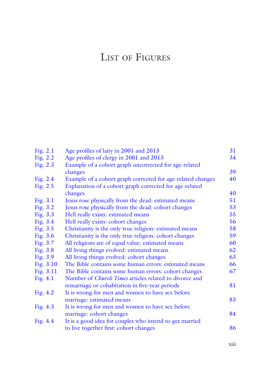# LIST OF FIGURES

| 34<br>39<br>40 |
|----------------|
|                |
|                |
|                |
|                |
|                |
| 40             |
| 51             |
| 53             |
| 55             |
| 56             |
| 58             |
| 59             |
| 60             |
| 62             |
| 63             |
| 66             |
| 67             |
|                |
| 81             |
|                |
| 83             |
|                |
| 84             |
|                |
| 86             |
|                |

xiii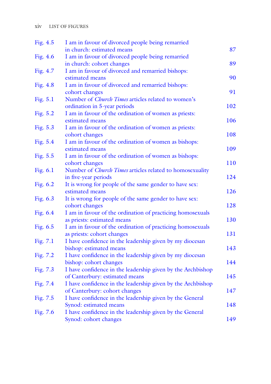| Fig. 4.5   | I am in favour of divorced people being remarried               |     |
|------------|-----------------------------------------------------------------|-----|
|            | in church: estimated means                                      | 87  |
| Fig. 4.6   | I am in favour of divorced people being remarried               |     |
|            | in church: cohort changes                                       | 89  |
| Fig. 4.7   | I am in favour of divorced and remarried bishops:               |     |
|            | estimated means                                                 | 90  |
| Fig. $4.8$ | I am in favour of divorced and remarried bishops:               |     |
|            | cohort changes                                                  | 91  |
| Fig. $5.1$ | Number of Church Times articles related to women's              |     |
|            | ordination in 5-year periods                                    | 102 |
| Fig. 5.2   | I am in favour of the ordination of women as priests:           |     |
|            | estimated means                                                 | 106 |
| Fig. 5.3   | I am in favour of the ordination of women as priests:           |     |
|            | cohort changes                                                  | 108 |
| Fig. 5.4   | I am in favour of the ordination of women as bishops:           |     |
|            | estimated means                                                 | 109 |
| Fig. 5.5   | I am in favour of the ordination of women as bishops:           |     |
|            | cohort changes                                                  | 110 |
| Fig. 6.1   | Number of <i>Church Times</i> articles related to homosexuality |     |
|            | in five-year periods                                            | 124 |
| Fig. $6.2$ | It is wrong for people of the same gender to have sex:          |     |
|            | estimated means                                                 | 126 |
| Fig. $6.3$ | It is wrong for people of the same gender to have sex:          |     |
|            | cohort changes                                                  | 128 |
| Fig. $6.4$ | I am in favour of the ordination of practicing homosexuals      |     |
|            | as priests: estimated means                                     | 130 |
| Fig. 6.5   | I am in favour of the ordination of practicing homosexuals      |     |
|            | as priests: cohort changes                                      | 131 |
| Fig. 7.1   | I have confidence in the leadership given by my diocesan        |     |
|            | bishop: estimated means                                         | 143 |
| Fig. 7.2   | I have confidence in the leadership given by my diocesan        |     |
|            | bishop: cohort changes                                          | 144 |
| Fig. 7.3   | I have confidence in the leadership given by the Archbishop     |     |
|            | of Canterbury: estimated means                                  | 145 |
| Fig. 7.4   | I have confidence in the leadership given by the Archbishop     |     |
|            | of Canterbury: cohort changes                                   | 147 |
| Fig. 7.5   | I have confidence in the leadership given by the General        |     |
|            | Synod: estimated means                                          | 148 |
| Fig. $7.6$ | I have confidence in the leadership given by the General        |     |
|            | Synod: cohort changes                                           | 149 |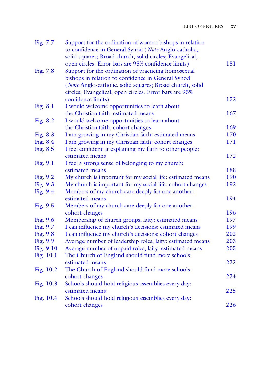| Fig. 7.7  | Support for the ordination of women bishops in relation                                                          |            |
|-----------|------------------------------------------------------------------------------------------------------------------|------------|
|           | to confidence in General Synod (Note Anglo-catholic,<br>solid squares; Broad church, solid circles; Evangelical, |            |
|           |                                                                                                                  | 151        |
|           | open circles. Error bars are 95% confidence limits)                                                              |            |
| Fig. 7.8  | Support for the ordination of practicing homosexual                                                              |            |
|           | bishops in relation to confidence in General Synod                                                               |            |
|           | (Note Anglo-catholic, solid squares; Broad church, solid                                                         |            |
|           | circles; Evangelical, open circles. Error bars are 95%                                                           |            |
|           | confidence limits)                                                                                               | 152        |
| Fig. 8.1  | I would welcome opportunities to learn about                                                                     |            |
|           | the Christian faith: estimated means                                                                             | 167        |
| Fig. 8.2  | I would welcome opportunities to learn about                                                                     |            |
|           | the Christian faith: cohort changes                                                                              | 169        |
| Fig. 8.3  | I am growing in my Christian faith: estimated means                                                              | 170<br>171 |
| Fig. 8.4  | I am growing in my Christian faith: cohort changes                                                               |            |
| Fig. 8.5  | I feel confident at explaining my faith to other people:<br>estimated means                                      | 172        |
| Fig. 9.1  | I feel a strong sense of belonging to my church:                                                                 |            |
|           | estimated means                                                                                                  | 188        |
| Fig. 9.2  | My church is important for my social life: estimated means                                                       | 190        |
| Fig. 9.3  | My church is important for my social life: cohort changes                                                        | 192        |
| Fig. 9.4  | Members of my church care deeply for one another:                                                                |            |
|           | estimated means                                                                                                  | 194        |
| Fig. 9.5  | Members of my church care deeply for one another:                                                                |            |
|           | cohort changes                                                                                                   | 196        |
| Fig. 9.6  | Membership of church groups, laity: estimated means                                                              | 197        |
| Fig. 9.7  | I can influence my church's decisions: estimated means                                                           | 199        |
| Fig. 9.8  | I can influence my church's decisions: cohort changes                                                            | 202        |
| Fig. 9.9  | Average number of leadership roles, laity: estimated means                                                       | 203        |
| Fig. 9.10 | Average number of unpaid roles, laity: estimated means                                                           | 205        |
| Fig. 10.1 | The Church of England should fund more schools:                                                                  |            |
|           | estimated means                                                                                                  | 222        |
| Fig. 10.2 | The Church of England should fund more schools:                                                                  |            |
|           | cohort changes                                                                                                   | 224        |
| Fig. 10.3 | Schools should hold religious assemblies every day:                                                              |            |
|           | estimated means                                                                                                  | 225        |
| Fig. 10.4 | Schools should hold religious assemblies every day:                                                              |            |
|           | cohort changes                                                                                                   | 226        |